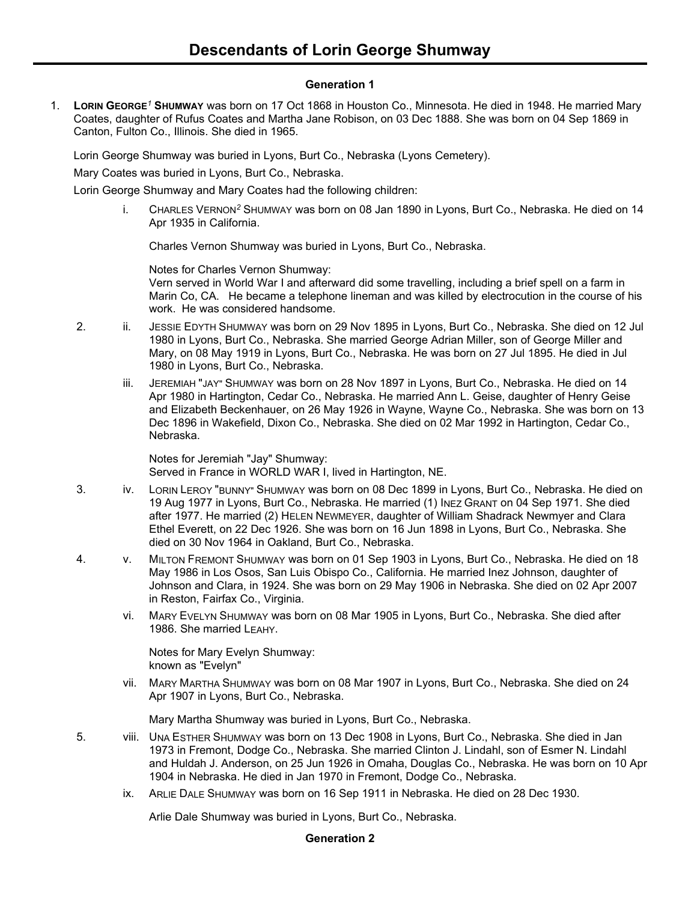## **Generation 1**

1. **LORIN GEORGE***<sup>1</sup>* **SHUMWAY** was born on 17 Oct 1868 in Houston Co., Minnesota. He died in 1948. He married Mary Coates, daughter of Rufus Coates and Martha Jane Robison, on 03 Dec 1888. She was born on 04 Sep 1869 in Canton, Fulton Co., Illinois. She died in 1965.

Lorin George Shumway was buried in Lyons, Burt Co., Nebraska (Lyons Cemetery).

Mary Coates was buried in Lyons, Burt Co., Nebraska.

Lorin George Shumway and Mary Coates had the following children:

i. CHARLES VERNON*<sup>2</sup>* SHUMWAY was born on 08 Jan 1890 in Lyons, Burt Co., Nebraska. He died on 14 Apr 1935 in California.

Charles Vernon Shumway was buried in Lyons, Burt Co., Nebraska.

Notes for Charles Vernon Shumway:

Vern served in World War I and afterward did some travelling, including a brief spell on a farm in Marin Co, CA. He became a telephone lineman and was killed by electrocution in the course of his work. He was considered handsome.

- 2. ii. JESSIE EDYTH SHUMWAY was born on 29 Nov 1895 in Lyons, Burt Co., Nebraska. She died on 12 Jul 1980 in Lyons, Burt Co., Nebraska. She married George Adrian Miller, son of George Miller and Mary, on 08 May 1919 in Lyons, Burt Co., Nebraska. He was born on 27 Jul 1895. He died in Jul 1980 in Lyons, Burt Co., Nebraska.
	- iii. JEREMIAH "JAY" SHUMWAY was born on 28 Nov 1897 in Lyons, Burt Co., Nebraska. He died on 14 Apr 1980 in Hartington, Cedar Co., Nebraska. He married Ann L. Geise, daughter of Henry Geise and Elizabeth Beckenhauer, on 26 May 1926 in Wayne, Wayne Co., Nebraska. She was born on 13 Dec 1896 in Wakefield, Dixon Co., Nebraska. She died on 02 Mar 1992 in Hartington, Cedar Co., Nebraska.

Notes for Jeremiah "Jay" Shumway: Served in France in WORLD WAR I, lived in Hartington, NE.

- 3. iv. LORIN LEROY "BUNNY" SHUMWAY was born on 08 Dec 1899 in Lyons, Burt Co., Nebraska. He died on 19 Aug 1977 in Lyons, Burt Co., Nebraska. He married (1) INEZ GRANT on 04 Sep 1971. She died after 1977. He married (2) HELEN NEWMEYER, daughter of William Shadrack Newmyer and Clara Ethel Everett, on 22 Dec 1926. She was born on 16 Jun 1898 in Lyons, Burt Co., Nebraska. She died on 30 Nov 1964 in Oakland, Burt Co., Nebraska.
- 4. v. MILTON FREMONT SHUMWAY was born on 01 Sep 1903 in Lyons, Burt Co., Nebraska. He died on 18 May 1986 in Los Osos, San Luis Obispo Co., California. He married Inez Johnson, daughter of Johnson and Clara, in 1924. She was born on 29 May 1906 in Nebraska. She died on 02 Apr 2007 in Reston, Fairfax Co., Virginia.
	- vi. MARY EVELYN SHUMWAY was born on 08 Mar 1905 in Lyons, Burt Co., Nebraska. She died after 1986. She married LEAHY.

Notes for Mary Evelyn Shumway: known as "Evelyn"

vii. MARY MARTHA SHUMWAY was born on 08 Mar 1907 in Lyons, Burt Co., Nebraska. She died on 24 Apr 1907 in Lyons, Burt Co., Nebraska.

Mary Martha Shumway was buried in Lyons, Burt Co., Nebraska.

- 5. viii. UNA ESTHER SHUMWAY was born on 13 Dec 1908 in Lyons, Burt Co., Nebraska. She died in Jan 1973 in Fremont, Dodge Co., Nebraska. She married Clinton J. Lindahl, son of Esmer N. Lindahl and Huldah J. Anderson, on 25 Jun 1926 in Omaha, Douglas Co., Nebraska. He was born on 10 Apr 1904 in Nebraska. He died in Jan 1970 in Fremont, Dodge Co., Nebraska.
	- ix. ARLIE DALE SHUMWAY was born on 16 Sep 1911 in Nebraska. He died on 28 Dec 1930.

Arlie Dale Shumway was buried in Lyons, Burt Co., Nebraska.

## **Generation 2**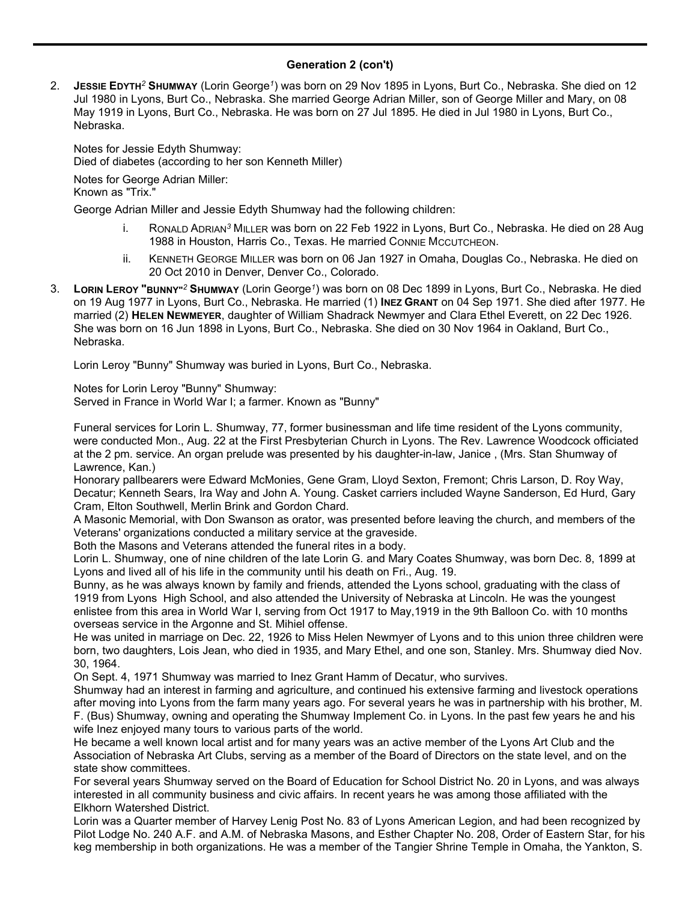## **Generation 2 (con't)**

2. **JESSIE EDYTH***<sup>2</sup>* **SHUMWAY** (Lorin George*<sup>1</sup>* ) was born on 29 Nov 1895 in Lyons, Burt Co., Nebraska. She died on 12 Jul 1980 in Lyons, Burt Co., Nebraska. She married George Adrian Miller, son of George Miller and Mary, on 08 May 1919 in Lyons, Burt Co., Nebraska. He was born on 27 Jul 1895. He died in Jul 1980 in Lyons, Burt Co., Nebraska.

Notes for Jessie Edyth Shumway: Died of diabetes (according to her son Kenneth Miller)

Notes for George Adrian Miller:

Known as "Trix."

George Adrian Miller and Jessie Edyth Shumway had the following children:

- i. RONALD ADRIAN*<sup>3</sup>* MILLER was born on 22 Feb 1922 in Lyons, Burt Co., Nebraska. He died on 28 Aug 1988 in Houston, Harris Co., Texas. He married CONNIE MCCUTCHEON.
- ii. KENNETH GEORGE MILLER was born on 06 Jan 1927 in Omaha, Douglas Co., Nebraska. He died on 20 Oct 2010 in Denver, Denver Co., Colorado.
- 3. **LORIN LEROY "BUNNY"***<sup>2</sup>* **SHUMWAY** (Lorin George*<sup>1</sup>* ) was born on 08 Dec 1899 in Lyons, Burt Co., Nebraska. He died on 19 Aug 1977 in Lyons, Burt Co., Nebraska. He married (1) **INEZ GRANT** on 04 Sep 1971. She died after 1977. He married (2) **HELEN NEWMEYER**, daughter of William Shadrack Newmyer and Clara Ethel Everett, on 22 Dec 1926. She was born on 16 Jun 1898 in Lyons, Burt Co., Nebraska. She died on 30 Nov 1964 in Oakland, Burt Co., Nebraska.

Lorin Leroy "Bunny" Shumway was buried in Lyons, Burt Co., Nebraska.

Notes for Lorin Leroy "Bunny" Shumway: Served in France in World War I; a farmer. Known as "Bunny"

Funeral services for Lorin L. Shumway, 77, former businessman and life time resident of the Lyons community, were conducted Mon., Aug. 22 at the First Presbyterian Church in Lyons. The Rev. Lawrence Woodcock officiated at the 2 pm. service. An organ prelude was presented by his daughter-in-law, Janice , (Mrs. Stan Shumway of Lawrence, Kan.)

Honorary pallbearers were Edward McMonies, Gene Gram, Lloyd Sexton, Fremont; Chris Larson, D. Roy Way, Decatur; Kenneth Sears, Ira Way and John A. Young. Casket carriers included Wayne Sanderson, Ed Hurd, Gary Cram, Elton Southwell, Merlin Brink and Gordon Chard.

A Masonic Memorial, with Don Swanson as orator, was presented before leaving the church, and members of the Veterans' organizations conducted a military service at the graveside.

Both the Masons and Veterans attended the funeral rites in a body.

Lorin L. Shumway, one of nine children of the late Lorin G. and Mary Coates Shumway, was born Dec. 8, 1899 at Lyons and lived all of his life in the community until his death on Fri., Aug. 19.

Bunny, as he was always known by family and friends, attended the Lyons school, graduating with the class of 1919 from Lyons High School, and also attended the University of Nebraska at Lincoln. He was the youngest enlistee from this area in World War I, serving from Oct 1917 to May,1919 in the 9th Balloon Co. with 10 months overseas service in the Argonne and St. Mihiel offense.

He was united in marriage on Dec. 22, 1926 to Miss Helen Newmyer of Lyons and to this union three children were born, two daughters, Lois Jean, who died in 1935, and Mary Ethel, and one son, Stanley. Mrs. Shumway died Nov. 30, 1964.

On Sept. 4, 1971 Shumway was married to Inez Grant Hamm of Decatur, who survives.

Shumway had an interest in farming and agriculture, and continued his extensive farming and livestock operations after moving into Lyons from the farm many years ago. For several years he was in partnership with his brother, M. F. (Bus) Shumway, owning and operating the Shumway Implement Co. in Lyons. In the past few years he and his wife Inez enjoyed many tours to various parts of the world.

He became a well known local artist and for many years was an active member of the Lyons Art Club and the Association of Nebraska Art Clubs, serving as a member of the Board of Directors on the state level, and on the state show committees.

For several years Shumway served on the Board of Education for School District No. 20 in Lyons, and was always interested in all community business and civic affairs. In recent years he was among those affiliated with the Elkhorn Watershed District.

Lorin was a Quarter member of Harvey Lenig Post No. 83 of Lyons American Legion, and had been recognized by Pilot Lodge No. 240 A.F. and A.M. of Nebraska Masons, and Esther Chapter No. 208, Order of Eastern Star, for his keg membership in both organizations. He was a member of the Tangier Shrine Temple in Omaha, the Yankton, S.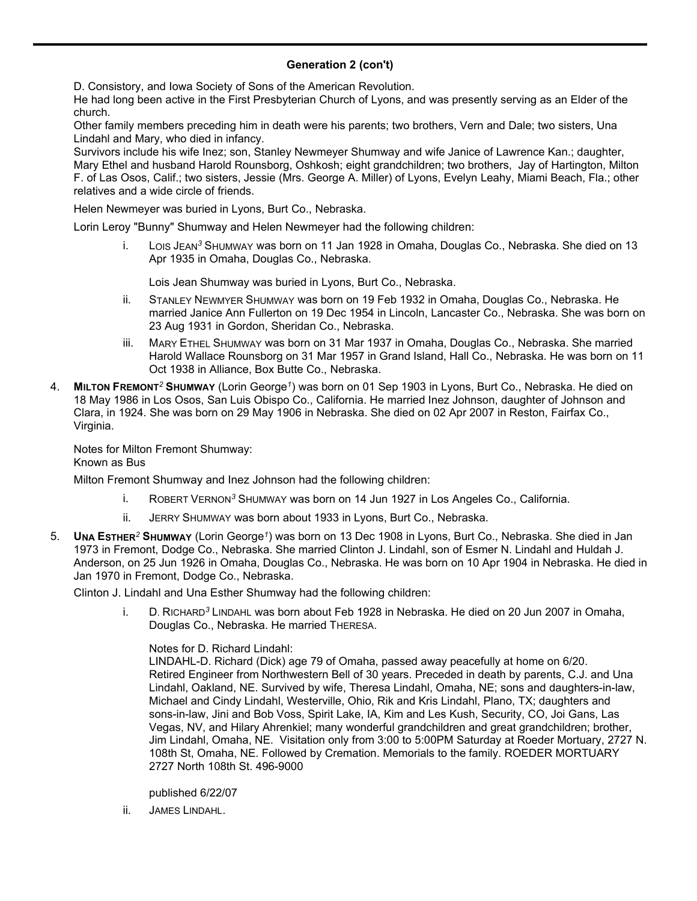## **Generation 2 (con't)**

D. Consistory, and Iowa Society of Sons of the American Revolution.

He had long been active in the First Presbyterian Church of Lyons, and was presently serving as an Elder of the church.

Other family members preceding him in death were his parents; two brothers, Vern and Dale; two sisters, Una Lindahl and Mary, who died in infancy.

Survivors include his wife Inez; son, Stanley Newmeyer Shumway and wife Janice of Lawrence Kan.; daughter, Mary Ethel and husband Harold Rounsborg, Oshkosh; eight grandchildren; two brothers, Jay of Hartington, Milton F. of Las Osos, Calif.; two sisters, Jessie (Mrs. George A. Miller) of Lyons, Evelyn Leahy, Miami Beach, Fla.; other relatives and a wide circle of friends.

Helen Newmeyer was buried in Lyons, Burt Co., Nebraska.

Lorin Leroy "Bunny" Shumway and Helen Newmeyer had the following children:

i. LOIS JEAN*<sup>3</sup>* SHUMWAY was born on 11 Jan 1928 in Omaha, Douglas Co., Nebraska. She died on 13 Apr 1935 in Omaha, Douglas Co., Nebraska.

Lois Jean Shumway was buried in Lyons, Burt Co., Nebraska.

- ii. STANLEY NEWMYER SHUMWAY was born on 19 Feb 1932 in Omaha, Douglas Co., Nebraska. He married Janice Ann Fullerton on 19 Dec 1954 in Lincoln, Lancaster Co., Nebraska. She was born on 23 Aug 1931 in Gordon, Sheridan Co., Nebraska.
- iii. MARY ETHEL SHUMWAY was born on 31 Mar 1937 in Omaha, Douglas Co., Nebraska. She married Harold Wallace Rounsborg on 31 Mar 1957 in Grand Island, Hall Co., Nebraska. He was born on 11 Oct 1938 in Alliance, Box Butte Co., Nebraska.
- 4. **MILTON FREMONT***<sup>2</sup>* **SHUMWAY** (Lorin George*<sup>1</sup>* ) was born on 01 Sep 1903 in Lyons, Burt Co., Nebraska. He died on 18 May 1986 in Los Osos, San Luis Obispo Co., California. He married Inez Johnson, daughter of Johnson and Clara, in 1924. She was born on 29 May 1906 in Nebraska. She died on 02 Apr 2007 in Reston, Fairfax Co., Virginia.

Notes for Milton Fremont Shumway:

Known as Bus

Milton Fremont Shumway and Inez Johnson had the following children:

- i. ROBERT VERNON*<sup>3</sup>* SHUMWAY was born on 14 Jun 1927 in Los Angeles Co., California.
- ii. JERRY SHUMWAY was born about 1933 in Lyons, Burt Co., Nebraska.
- 5. **UNA ESTHER***<sup>2</sup>* **SHUMWAY** (Lorin George*<sup>1</sup>* ) was born on 13 Dec 1908 in Lyons, Burt Co., Nebraska. She died in Jan 1973 in Fremont, Dodge Co., Nebraska. She married Clinton J. Lindahl, son of Esmer N. Lindahl and Huldah J. Anderson, on 25 Jun 1926 in Omaha, Douglas Co., Nebraska. He was born on 10 Apr 1904 in Nebraska. He died in Jan 1970 in Fremont, Dodge Co., Nebraska.

Clinton J. Lindahl and Una Esther Shumway had the following children:

i. D. RICHARD*<sup>3</sup>* LINDAHL was born about Feb 1928 in Nebraska. He died on 20 Jun 2007 in Omaha, Douglas Co., Nebraska. He married THERESA.

Notes for D. Richard Lindahl:

LINDAHL-D. Richard (Dick) age 79 of Omaha, passed away peacefully at home on 6/20. Retired Engineer from Northwestern Bell of 30 years. Preceded in death by parents, C.J. and Una Lindahl, Oakland, NE. Survived by wife, Theresa Lindahl, Omaha, NE; sons and daughters-in-law, Michael and Cindy Lindahl, Westerville, Ohio, Rik and Kris Lindahl, Plano, TX; daughters and sons-in-law, Jini and Bob Voss, Spirit Lake, IA, Kim and Les Kush, Security, CO, Joi Gans, Las Vegas, NV, and Hilary Ahrenkiel; many wonderful grandchildren and great grandchildren; brother, Jim Lindahl, Omaha, NE. Visitation only from 3:00 to 5:00PM Saturday at Roeder Mortuary, 2727 N. 108th St, Omaha, NE. Followed by Cremation. Memorials to the family. ROEDER MORTUARY 2727 North 108th St. 496-9000

published 6/22/07

ii. JAMES LINDAHL.